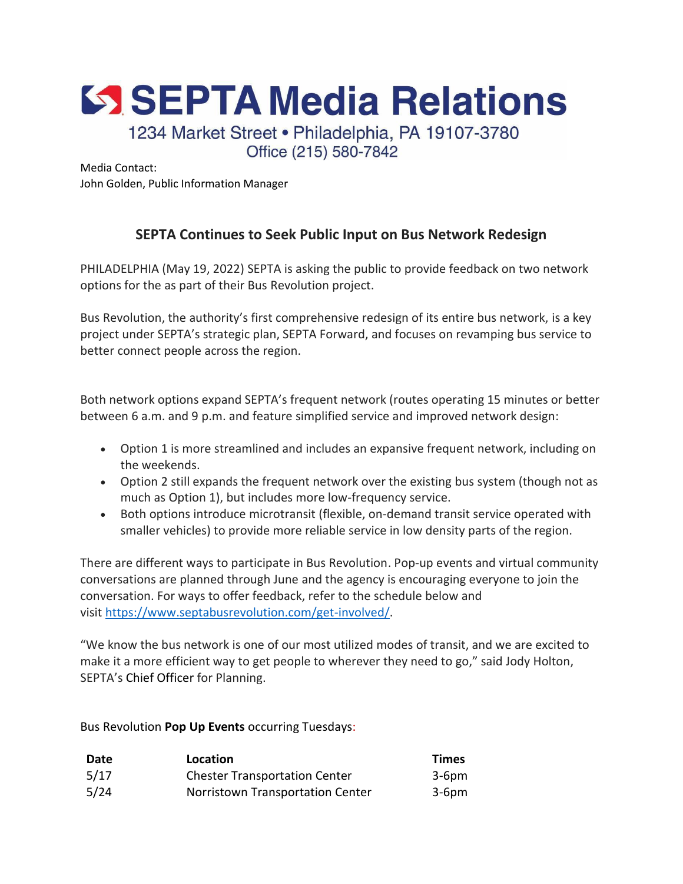SSEPTA Media Relations

1234 Market Street · Philadelphia, PA 19107-3780 Office (215) 580-7842

Media Contact: John Golden, Public Information Manager

## **SEPTA Continues to Seek Public Input on Bus Network Redesign**

PHILADELPHIA (May 19, 2022) SEPTA is asking the public to provide feedback on two network options for the as part of their Bus Revolution project.

Bus Revolution, the authority's first comprehensive redesign of its entire bus network, is a key project under SEPTA's strategic plan, SEPTA Forward, and focuses on revamping bus service to better connect people across the region.

Both network options expand SEPTA's frequent network (routes operating 15 minutes or better between 6 a.m. and 9 p.m. and feature simplified service and improved network design:

- Option 1 is more streamlined and includes an expansive frequent network, including on the weekends.
- Option 2 still expands the frequent network over the existing bus system (though not as much as Option 1), but includes more low-frequency service.
- Both options introduce microtransit (flexible, on-demand transit service operated with smaller vehicles) to provide more reliable service in low density parts of the region.

There are different ways to participate in Bus Revolution. Pop-up events and virtual community conversations are planned through June and the agency is encouraging everyone to join the conversation. For ways to offer feedback, refer to the schedule below and visit [https://www.septabusrevolution.com/get-involved/.](https://www.septabusrevolution.com/get-involved/)

"We know the bus network is one of our most utilized modes of transit, and we are excited to make it a more efficient way to get people to wherever they need to go," said Jody Holton, SEPTA's Chief Officer for Planning.

Bus Revolution **Pop Up Events** occurring Tuesdays:

| Date | Location                             | <b>Times</b> |
|------|--------------------------------------|--------------|
| 5/17 | <b>Chester Transportation Center</b> | 3-6pm        |
| 5/24 | Norristown Transportation Center     | $3-6$ pm     |